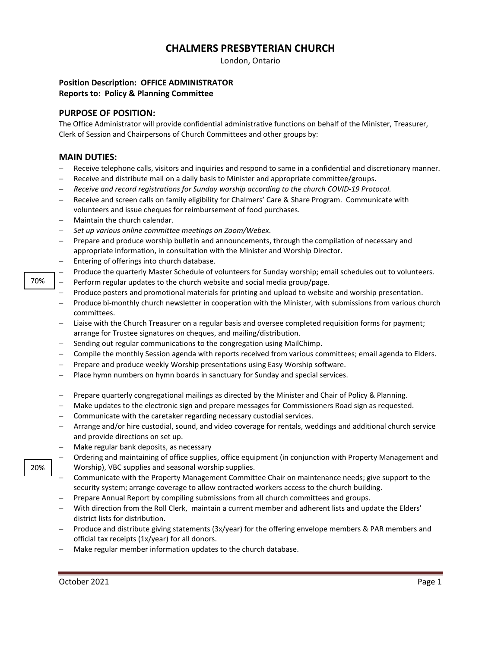# **CHALMERS PRESBYTERIAN CHURCH**

London, Ontario

### **Position Description: OFFICE ADMINISTRATOR Reports to: Policy & Planning Committee**

#### **PURPOSE OF POSITION:**

The Office Administrator will provide confidential administrative functions on behalf of the Minister, Treasurer, Clerk of Session and Chairpersons of Church Committees and other groups by:

### **MAIN DUTIES:**

- − Receive telephone calls, visitors and inquiries and respond to same in a confidential and discretionary manner.
- Receive and distribute mail on a daily basis to Minister and appropriate committee/groups.
- − *Receive and record registrations for Sunday worship according to the church COVID-19 Protocol.*
- − Receive and screen calls on family eligibility for Chalmers' Care & Share Program. Communicate with volunteers and issue cheques for reimbursement of food purchases.
- − Maintain the church calendar.
- − *Set up various online committee meetings on Zoom/Webex.*
- Prepare and produce worship bulletin and announcements, through the compilation of necessary and appropriate information, in consultation with the Minister and Worship Director.
- − Entering of offerings into church database.
- Produce the quarterly Master Schedule of volunteers for Sunday worship; email schedules out to volunteers.
- Perform regular updates to the church website and social media group/page.
- Produce posters and promotional materials for printing and upload to website and worship presentation.
- − Produce bi-monthly church newsletter in cooperation with the Minister, with submissions from various church committees.
- Liaise with the Church Treasurer on a regular basis and oversee completed requisition forms for payment; arrange for Trustee signatures on cheques, and mailing/distribution.
- Sending out regular communications to the congregation using MailChimp.
- − Compile the monthly Session agenda with reports received from various committees; email agenda to Elders.
- Prepare and produce weekly Worship presentations using Easy Worship software.
- Place hymn numbers on hymn boards in sanctuary for Sunday and special services.
- − Prepare quarterly congregational mailings as directed by the Minister and Chair of Policy & Planning.
- − Make updates to the electronic sign and prepare messages for Commissioners Road sign as requested.
- − Communicate with the caretaker regarding necessary custodial services.
- − Arrange and/or hire custodial, sound, and video coverage for rentals, weddings and additional church service and provide directions on set up.
- − Make regular bank deposits, as necessary
- − Ordering and maintaining of office supplies, office equipment (in conjunction with Property Management and Worship), VBC supplies and seasonal worship supplies.
- − Communicate with the Property Management Committee Chair on maintenance needs; give support to the security system; arrange coverage to allow contracted workers access to the church building.
- − Prepare Annual Report by compiling submissions from all church committees and groups.
- − With direction from the Roll Clerk, maintain a current member and adherent lists and update the Elders' district lists for distribution.
- − Produce and distribute giving statements (3x/year) for the offering envelope members & PAR members and official tax receipts (1x/year) for all donors.
- − Make regular member information updates to the church database.

20%